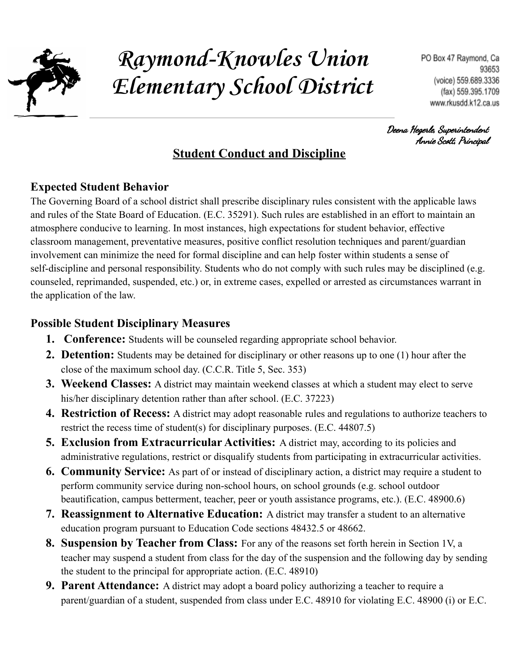

# **Raymond-Knowles Union Elementary School District**

Deena Hegerle, Superintendent Annie Scott, Principal

## **Student Conduct and Discipline**

#### **Expected Student Behavior**

The Governing Board of a school district shall prescribe disciplinary rules consistent with the applicable laws and rules of the State Board of Education. (E.C. 35291). Such rules are established in an effort to maintain an atmosphere conducive to learning. In most instances, high expectations for student behavior, effective classroom management, preventative measures, positive conflict resolution techniques and parent/guardian involvement can minimize the need for formal discipline and can help foster within students a sense of self-discipline and personal responsibility. Students who do not comply with such rules may be disciplined (e.g. counseled, reprimanded, suspended, etc.) or, in extreme cases, expelled or arrested as circumstances warrant in the application of the law.

## **Possible Student Disciplinary Measures**

- **1. Conference:** Students will be counseled regarding appropriate school behavior.
- **2. Detention:** Students may be detained for disciplinary or other reasons up to one (1) hour after the close of the maximum school day. (C.C.R. Title 5, Sec. 353)
- **3. Weekend Classes:** A district may maintain weekend classes at which a student may elect to serve his/her disciplinary detention rather than after school. (E.C. 37223)
- **4. Restriction of Recess:** A district may adopt reasonable rules and regulations to authorize teachers to restrict the recess time of student(s) for disciplinary purposes. (E.C. 44807.5)
- **5. Exclusion from Extracurricular Activities:** A district may, according to its policies and administrative regulations, restrict or disqualify students from participating in extracurricular activities.
- **6. Community Service:** As part of or instead of disciplinary action, a district may require a student to perform community service during non-school hours, on school grounds (e.g. school outdoor beautification, campus betterment, teacher, peer or youth assistance programs, etc.). (E.C. 48900.6)
- **7. Reassignment to Alternative Education:** A district may transfer a student to an alternative education program pursuant to Education Code sections 48432.5 or 48662.
- **8. Suspension by Teacher from Class:** For any of the reasons set forth herein in Section 1V, a teacher may suspend a student from class for the day of the suspension and the following day by sending the student to the principal for appropriate action. (E.C. 48910)
- **9. Parent Attendance:** A district may adopt a board policy authorizing a teacher to require a parent/guardian of a student, suspended from class under E.C. 48910 for violating E.C. 48900 (i) or E.C.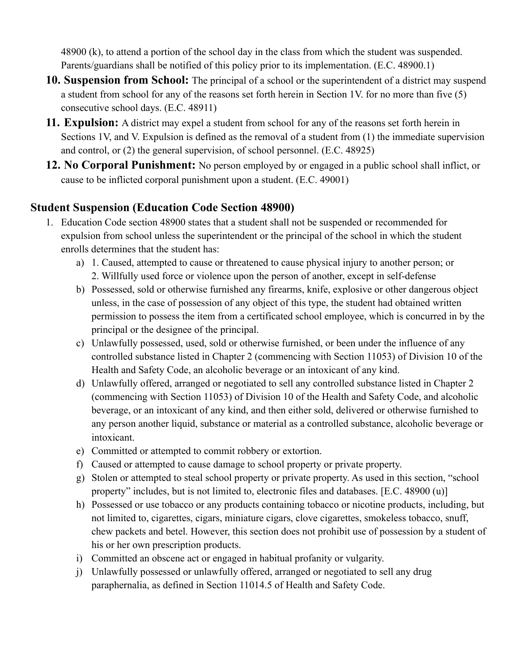48900 (k), to attend a portion of the school day in the class from which the student was suspended. Parents/guardians shall be notified of this policy prior to its implementation. (E.C. 48900.1)

- **10. Suspension from School:** The principal of a school or the superintendent of a district may suspend a student from school for any of the reasons set forth herein in Section 1V. for no more than five (5) consecutive school days. (E.C. 48911)
- **11. Expulsion:** A district may expel a student from school for any of the reasons set forth herein in Sections 1V, and V. Expulsion is defined as the removal of a student from (1) the immediate supervision and control, or (2) the general supervision, of school personnel. (E.C. 48925)
- **12. No Corporal Punishment:** No person employed by or engaged in a public school shall inflict, or cause to be inflicted corporal punishment upon a student. (E.C. 49001)

#### **Student Suspension (Education Code Section 48900)**

- 1. Education Code section 48900 states that a student shall not be suspended or recommended for expulsion from school unless the superintendent or the principal of the school in which the student enrolls determines that the student has:
	- a) 1. Caused, attempted to cause or threatened to cause physical injury to another person; or 2. Willfully used force or violence upon the person of another, except in self-defense
	- b) Possessed, sold or otherwise furnished any firearms, knife, explosive or other dangerous object unless, in the case of possession of any object of this type, the student had obtained written permission to possess the item from a certificated school employee, which is concurred in by the principal or the designee of the principal.
	- c) Unlawfully possessed, used, sold or otherwise furnished, or been under the influence of any controlled substance listed in Chapter 2 (commencing with Section 11053) of Division 10 of the Health and Safety Code, an alcoholic beverage or an intoxicant of any kind.
	- d) Unlawfully offered, arranged or negotiated to sell any controlled substance listed in Chapter 2 (commencing with Section 11053) of Division 10 of the Health and Safety Code, and alcoholic beverage, or an intoxicant of any kind, and then either sold, delivered or otherwise furnished to any person another liquid, substance or material as a controlled substance, alcoholic beverage or intoxicant.
	- e) Committed or attempted to commit robbery or extortion.
	- f) Caused or attempted to cause damage to school property or private property.
	- g) Stolen or attempted to steal school property or private property. As used in this section, "school property" includes, but is not limited to, electronic files and databases. [E.C. 48900 (u)]
	- h) Possessed or use tobacco or any products containing tobacco or nicotine products, including, but not limited to, cigarettes, cigars, miniature cigars, clove cigarettes, smokeless tobacco, snuff, chew packets and betel. However, this section does not prohibit use of possession by a student of his or her own prescription products.
	- i) Committed an obscene act or engaged in habitual profanity or vulgarity.
	- j) Unlawfully possessed or unlawfully offered, arranged or negotiated to sell any drug paraphernalia, as defined in Section 11014.5 of Health and Safety Code.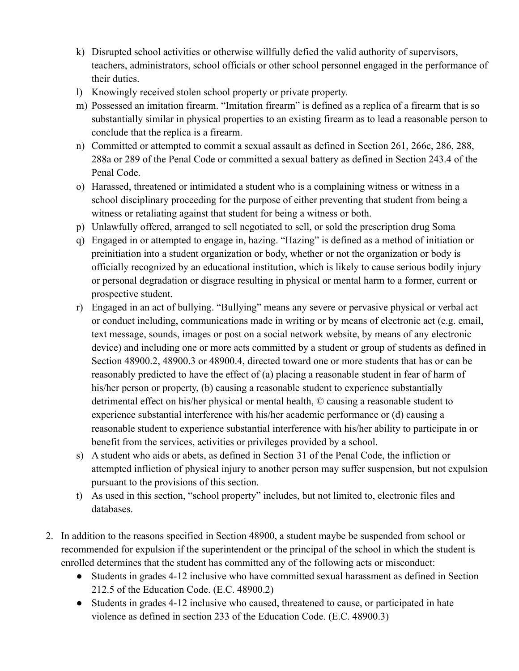- k) Disrupted school activities or otherwise willfully defied the valid authority of supervisors, teachers, administrators, school officials or other school personnel engaged in the performance of their duties.
- l) Knowingly received stolen school property or private property.
- m) Possessed an imitation firearm. "Imitation firearm" is defined as a replica of a firearm that is so substantially similar in physical properties to an existing firearm as to lead a reasonable person to conclude that the replica is a firearm.
- n) Committed or attempted to commit a sexual assault as defined in Section 261, 266c, 286, 288, 288a or 289 of the Penal Code or committed a sexual battery as defined in Section 243.4 of the Penal Code.
- o) Harassed, threatened or intimidated a student who is a complaining witness or witness in a school disciplinary proceeding for the purpose of either preventing that student from being a witness or retaliating against that student for being a witness or both.
- p) Unlawfully offered, arranged to sell negotiated to sell, or sold the prescription drug Soma
- q) Engaged in or attempted to engage in, hazing. "Hazing" is defined as a method of initiation or preinitiation into a student organization or body, whether or not the organization or body is officially recognized by an educational institution, which is likely to cause serious bodily injury or personal degradation or disgrace resulting in physical or mental harm to a former, current or prospective student.
- r) Engaged in an act of bullying. "Bullying" means any severe or pervasive physical or verbal act or conduct including, communications made in writing or by means of electronic act (e.g. email, text message, sounds, images or post on a social network website, by means of any electronic device) and including one or more acts committed by a student or group of students as defined in Section 48900.2, 48900.3 or 48900.4, directed toward one or more students that has or can be reasonably predicted to have the effect of (a) placing a reasonable student in fear of harm of his/her person or property, (b) causing a reasonable student to experience substantially detrimental effect on his/her physical or mental health, © causing a reasonable student to experience substantial interference with his/her academic performance or (d) causing a reasonable student to experience substantial interference with his/her ability to participate in or benefit from the services, activities or privileges provided by a school.
- s) A student who aids or abets, as defined in Section 31 of the Penal Code, the infliction or attempted infliction of physical injury to another person may suffer suspension, but not expulsion pursuant to the provisions of this section.
- t) As used in this section, "school property" includes, but not limited to, electronic files and databases.
- 2. In addition to the reasons specified in Section 48900, a student maybe be suspended from school or recommended for expulsion if the superintendent or the principal of the school in which the student is enrolled determines that the student has committed any of the following acts or misconduct:
	- Students in grades 4-12 inclusive who have committed sexual harassment as defined in Section 212.5 of the Education Code. (E.C. 48900.2)
	- Students in grades 4-12 inclusive who caused, threatened to cause, or participated in hate violence as defined in section 233 of the Education Code. (E.C. 48900.3)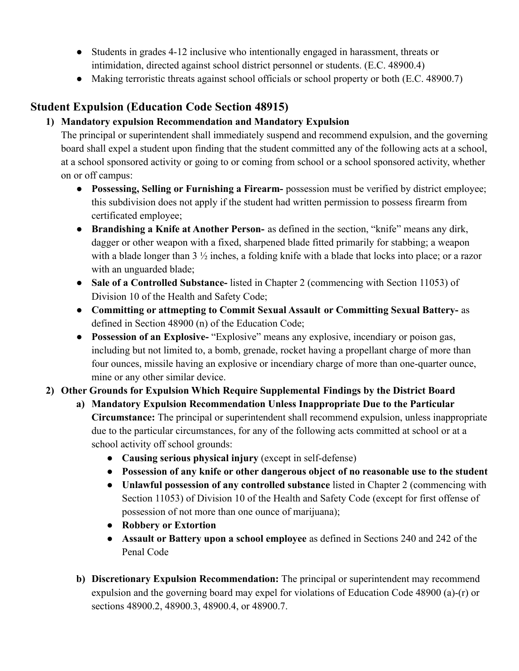- Students in grades 4-12 inclusive who intentionally engaged in harassment, threats or intimidation, directed against school district personnel or students. (E.C. 48900.4)
- Making terroristic threats against school officials or school property or both (E.C. 48900.7)

## **Student Expulsion (Education Code Section 48915)**

#### **1) Mandatory expulsion Recommendation and Mandatory Expulsion**

The principal or superintendent shall immediately suspend and recommend expulsion, and the governing board shall expel a student upon finding that the student committed any of the following acts at a school, at a school sponsored activity or going to or coming from school or a school sponsored activity, whether on or off campus:

- **● Possessing, Selling or Furnishing a Firearm-** possession must be verified by district employee; this subdivision does not apply if the student had written permission to possess firearm from certificated employee;
- **● Brandishing a Knife at Another Person-** as defined in the section, "knife" means any dirk, dagger or other weapon with a fixed, sharpened blade fitted primarily for stabbing; a weapon with a blade longer than  $3\frac{1}{2}$  inches, a folding knife with a blade that locks into place; or a razor with an unguarded blade;
- **● Sale of a Controlled Substance-** listed in Chapter 2 (commencing with Section 11053) of Division 10 of the Health and Safety Code;
- **● Committing or attmepting to Commit Sexual Assault or Committing Sexual Battery-** as defined in Section 48900 (n) of the Education Code;
- **● Possession of an Explosive-** "Explosive" means any explosive, incendiary or poison gas, including but not limited to, a bomb, grenade, rocket having a propellant charge of more than four ounces, missile having an explosive or incendiary charge of more than one-quarter ounce, mine or any other similar device.

#### **2) Other Grounds for Expulsion Which Require Supplemental Findings by the District Board**

- **a) Mandatory Expulsion Recommendation Unless Inappropriate Due to the Particular Circumstance:** The principal or superintendent shall recommend expulsion, unless inappropriate due to the particular circumstances, for any of the following acts committed at school or at a school activity off school grounds:
	- **● Causing serious physical injury** (except in self-defense)
	- **● Possession of any knife or other dangerous object of no reasonable use to the student**
	- **● Unlawful possession of any controlled substance** listed in Chapter 2 (commencing with Section 11053) of Division 10 of the Health and Safety Code (except for first offense of possession of not more than one ounce of marijuana);
	- **● Robbery or Extortion**
	- **● Assault or Battery upon a school employee** as defined in Sections 240 and 242 of the Penal Code
- **b) Discretionary Expulsion Recommendation:** The principal or superintendent may recommend expulsion and the governing board may expel for violations of Education Code 48900 (a)-(r) or sections 48900.2, 48900.3, 48900.4, or 48900.7.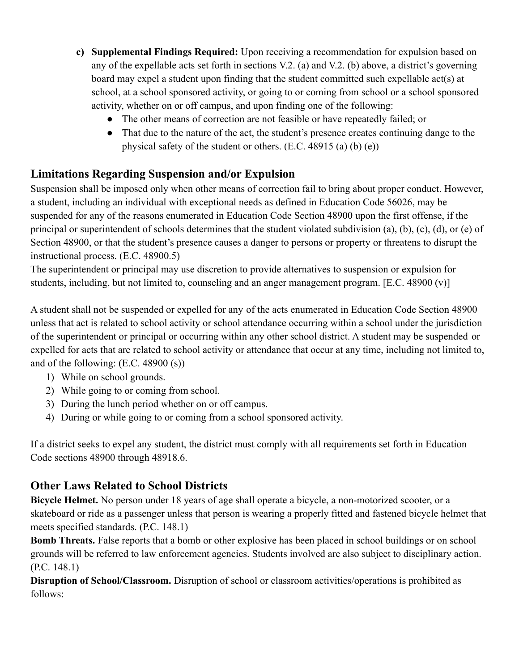- **c) Supplemental Findings Required:** Upon receiving a recommendation for expulsion based on any of the expellable acts set forth in sections V.2. (a) and V.2. (b) above, a district's governing board may expel a student upon finding that the student committed such expellable act(s) at school, at a school sponsored activity, or going to or coming from school or a school sponsored activity, whether on or off campus, and upon finding one of the following:
	- The other means of correction are not feasible or have repeatedly failed; or
	- That due to the nature of the act, the student's presence creates continuing dange to the physical safety of the student or others. (E.C. 48915 (a) (b) (e))

### **Limitations Regarding Suspension and/or Expulsion**

Suspension shall be imposed only when other means of correction fail to bring about proper conduct. However, a student, including an individual with exceptional needs as defined in Education Code 56026, may be suspended for any of the reasons enumerated in Education Code Section 48900 upon the first offense, if the principal or superintendent of schools determines that the student violated subdivision (a), (b), (c), (d), or (e) of Section 48900, or that the student's presence causes a danger to persons or property or threatens to disrupt the instructional process. (E.C. 48900.5)

The superintendent or principal may use discretion to provide alternatives to suspension or expulsion for students, including, but not limited to, counseling and an anger management program. [E.C. 48900 (v)]

A student shall not be suspended or expelled for any of the acts enumerated in Education Code Section 48900 unless that act is related to school activity or school attendance occurring within a school under the jurisdiction of the superintendent or principal or occurring within any other school district. A student may be suspended or expelled for acts that are related to school activity or attendance that occur at any time, including not limited to, and of the following: (E.C. 48900 (s))

- 1) While on school grounds.
- 2) While going to or coming from school.
- 3) During the lunch period whether on or off campus.
- 4) During or while going to or coming from a school sponsored activity.

If a district seeks to expel any student, the district must comply with all requirements set forth in Education Code sections 48900 through 48918.6.

## **Other Laws Related to School Districts**

**Bicycle Helmet.** No person under 18 years of age shall operate a bicycle, a non-motorized scooter, or a skateboard or ride as a passenger unless that person is wearing a properly fitted and fastened bicycle helmet that meets specified standards. (P.C. 148.1)

**Bomb Threats.** False reports that a bomb or other explosive has been placed in school buildings or on school grounds will be referred to law enforcement agencies. Students involved are also subject to disciplinary action. (P.C. 148.1)

**Disruption of School/Classroom.** Disruption of school or classroom activities/operations is prohibited as follows: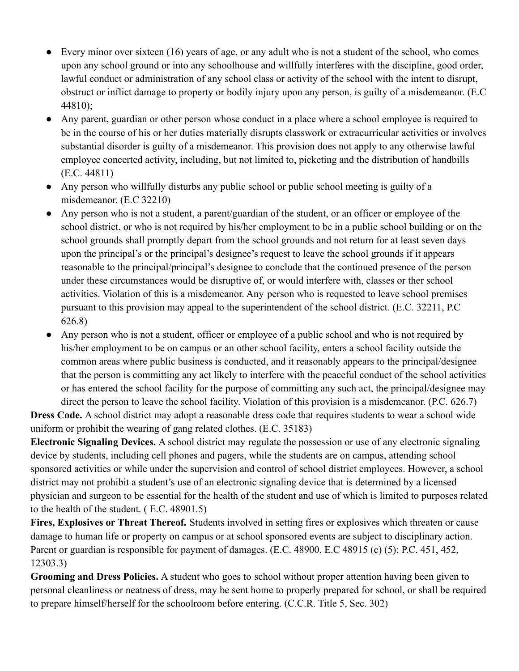- Every minor over sixteen (16) years of age, or any adult who is not a student of the school, who comes upon any school ground or into any schoolhouse and willfully interferes with the discipline, good order, lawful conduct or administration of any school class or activity of the school with the intent to disrupt, obstruct or inflict damage to property or bodily injury upon any person, is guilty of a misdemeanor. (E.C 44810);
- Any parent, guardian or other person whose conduct in a place where a school employee is required to be in the course of his or her duties materially disrupts classwork or extracurricular activities or involves substantial disorder is guilty of a misdemeanor. This provision does not apply to any otherwise lawful employee concerted activity, including, but not limited to, picketing and the distribution of handbills (E.C. 44811)
- Any person who willfully disturbs any public school or public school meeting is guilty of a misdemeanor. (E.C 32210)
- Any person who is not a student, a parent/guardian of the student, or an officer or employee of the school district, or who is not required by his/her employment to be in a public school building or on the school grounds shall promptly depart from the school grounds and not return for at least seven days upon the principal's or the principal's designee's request to leave the school grounds if it appears reasonable to the principal/principal's designee to conclude that the continued presence of the person under these circumstances would be disruptive of, or would interfere with, classes or ther school activities. Violation of this is a misdemeanor. Any person who is requested to leave school premises pursuant to this provision may appeal to the superintendent of the school district. (E.C. 32211, P.C 626.8)
- Any person who is not a student, officer or employee of a public school and who is not required by his/her employment to be on campus or an other school facility, enters a school facility outside the common areas where public business is conducted, and it reasonably appears to the principal/designee that the person is committing any act likely to interfere with the peaceful conduct of the school activities or has entered the school facility for the purpose of committing any such act, the principal/designee may direct the person to leave the school facility. Violation of this provision is a misdemeanor. (P.C. 626.7)

**Dress Code.** A school district may adopt a reasonable dress code that requires students to wear a school wide uniform or prohibit the wearing of gang related clothes. (E.C. 35183)

**Electronic Signaling Devices.** A school district may regulate the possession or use of any electronic signaling device by students, including cell phones and pagers, while the students are on campus, attending school sponsored activities or while under the supervision and control of school district employees. However, a school district may not prohibit a student's use of an electronic signaling device that is determined by a licensed physician and surgeon to be essential for the health of the student and use of which is limited to purposes related to the health of the student. ( E.C. 48901.5)

**Fires, Explosives or Threat Thereof.** Students involved in setting fires or explosives which threaten or cause damage to human life or property on campus or at school sponsored events are subject to disciplinary action. Parent or guardian is responsible for payment of damages. (E.C. 48900, E.C 48915 (c) (5); P.C. 451, 452, 12303.3)

**Grooming and Dress Policies.** A student who goes to school without proper attention having been given to personal cleanliness or neatness of dress, may be sent home to properly prepared for school, or shall be required to prepare himself/herself for the schoolroom before entering. (C.C.R. Title 5, Sec. 302)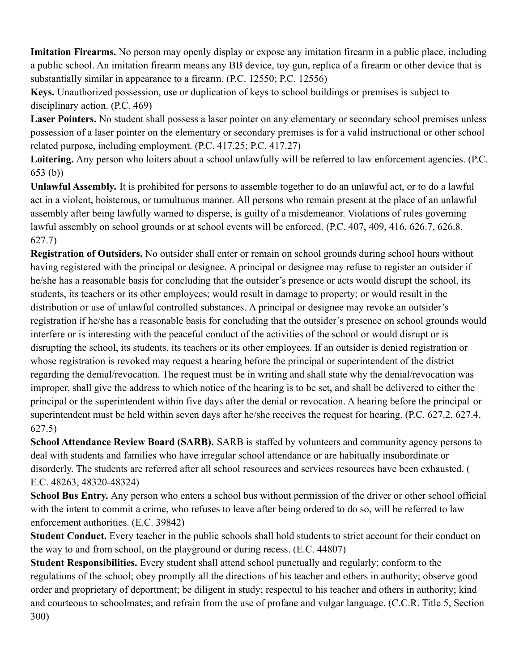**Imitation Firearms.** No person may openly display or expose any imitation firearm in a public place, including a public school. An imitation firearm means any BB device, toy gun, replica of a firearm or other device that is substantially similar in appearance to a firearm. (P.C. 12550; P.C. 12556)

**Keys.** Unauthorized possession, use or duplication of keys to school buildings or premises is subject to disciplinary action. (P.C. 469)

**Laser Pointers.** No student shall possess a laser pointer on any elementary or secondary school premises unless possession of a laser pointer on the elementary or secondary premises is for a valid instructional or other school related purpose, including employment. (P.C. 417.25; P.C. 417.27)

**Loitering.** Any person who loiters about a school unlawfully will be referred to law enforcement agencies. (P.C. 653 (b))

**Unlawful Assembly.** It is prohibited for persons to assemble together to do an unlawful act, or to do a lawful act in a violent, boisterous, or tumultuous manner. All persons who remain present at the place of an unlawful assembly after being lawfully warned to disperse, is guilty of a misdemeanor. Violations of rules governing lawful assembly on school grounds or at school events will be enforced. (P.C. 407, 409, 416, 626.7, 626.8, 627.7)

**Registration of Outsiders.** No outsider shall enter or remain on school grounds during school hours without having registered with the principal or designee. A principal or designee may refuse to register an outsider if he/she has a reasonable basis for concluding that the outsider's presence or acts would disrupt the school, its students, its teachers or its other employees; would result in damage to property; or would result in the distribution or use of unlawful controlled substances. A principal or designee may revoke an outsider's registration if he/she has a reasonable basis for concluding that the outsider's presence on school grounds would interfere or is interesting with the peaceful conduct of the activities of the school or would disrupt or is disrupting the school, its students, its teachers or its other employees. If an outsider is denied registration or whose registration is revoked may request a hearing before the principal or superintendent of the district regarding the denial/revocation. The request must be in writing and shall state why the denial/revocation was improper, shall give the address to which notice of the hearing is to be set, and shall be delivered to either the principal or the superintendent within five days after the denial or revocation. A hearing before the principal or superintendent must be held within seven days after he/she receives the request for hearing. (P.C. 627.2, 627.4, 627.5)

**School Attendance Review Board (SARB).** SARB is staffed by volunteers and community agency persons to deal with students and families who have irregular school attendance or are habitually insubordinate or disorderly. The students are referred after all school resources and services resources have been exhausted. ( E.C. 48263, 48320-48324)

**School Bus Entry.** Any person who enters a school bus without permission of the driver or other school official with the intent to commit a crime, who refuses to leave after being ordered to do so, will be referred to law enforcement authorities. (E.C. 39842)

**Student Conduct.** Every teacher in the public schools shall hold students to strict account for their conduct on the way to and from school, on the playground or during recess. (E.C. 44807)

**Student Responsibilities.** Every student shall attend school punctually and regularly; conform to the regulations of the school; obey promptly all the directions of his teacher and others in authority; observe good order and proprietary of deportment; be diligent in study; respectul to his teacher and others in authority; kind and courteous to schoolmates; and refrain from the use of profane and vulgar language. (C.C.R. Title 5, Section 300)